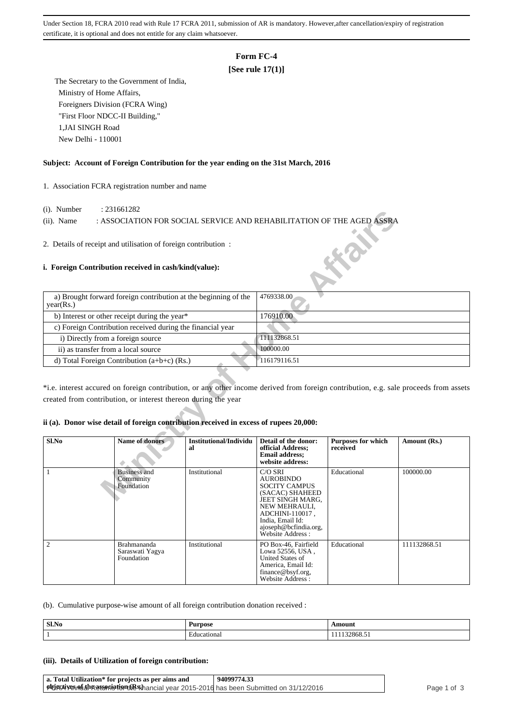Under Section 18, FCRA 2010 read with Rule 17 FCRA 2011, submission of AR is mandatory. However,after cancellation/expiry of registration certificate, it is optional and does not entitle for any claim whatsoever.

# **Form FC-4**

## **[See rule 17(1)]**

 The Secretary to the Government of India, Ministry of Home Affairs, Foreigners Division (FCRA Wing) "First Floor NDCC-II Building," 1,JAI SINGH Road New Delhi - 110001

#### **Subject: Account of Foreign Contribution for the year ending on the 31st March, 2016**

1. Association FCRA registration number and name

- (i). Number : 231661282
- (ii). Name : ASSOCIATION FOR SOCIAL SERVICE AND REHABILITATION OF THE AGED ASSRA

### **i. Foreign Contribution received in cash/kind(value):**

| $(1)$ . INUITIUUT                   | . $2J1001202$                                                                                                           |                              |                                                                                                   |                                       |                                                                                                                                       |  |
|-------------------------------------|-------------------------------------------------------------------------------------------------------------------------|------------------------------|---------------------------------------------------------------------------------------------------|---------------------------------------|---------------------------------------------------------------------------------------------------------------------------------------|--|
| $(ii)$ . Name                       | : ASSOCIATION FOR SOCIAL SERVICE AND REHABILITATION OF THE AGED ASSRA                                                   |                              |                                                                                                   |                                       |                                                                                                                                       |  |
|                                     |                                                                                                                         |                              |                                                                                                   |                                       |                                                                                                                                       |  |
|                                     | 2. Details of receipt and utilisation of foreign contribution:<br>i. Foreign Contribution received in cash/kind(value): |                              |                                                                                                   |                                       |                                                                                                                                       |  |
|                                     |                                                                                                                         |                              |                                                                                                   |                                       |                                                                                                                                       |  |
| year(Rs.)                           | a) Brought forward foreign contribution at the beginning of the                                                         |                              | 4769338.00                                                                                        |                                       |                                                                                                                                       |  |
|                                     | b) Interest or other receipt during the year*                                                                           |                              | 176910.00                                                                                         |                                       |                                                                                                                                       |  |
|                                     | c) Foreign Contribution received during the financial year                                                              |                              |                                                                                                   |                                       |                                                                                                                                       |  |
| i) Directly from a foreign source   |                                                                                                                         |                              | 111132868.51                                                                                      |                                       |                                                                                                                                       |  |
| ii) as transfer from a local source |                                                                                                                         |                              | 100000.00                                                                                         |                                       |                                                                                                                                       |  |
|                                     | d) Total Foreign Contribution $(a+b+c)$ (Rs.)                                                                           |                              | 116179116.51                                                                                      |                                       |                                                                                                                                       |  |
|                                     | created from contribution, or interest thereon during the year                                                          |                              |                                                                                                   |                                       | *i.e. interest accured on foreign contribution, or any other income derived from foreign contribution, e.g. sale proceeds from assets |  |
|                                     | ii (a). Donor wise detail of foreign contribution received in excess of rupees 20,000:                                  |                              |                                                                                                   |                                       |                                                                                                                                       |  |
| Sl.No                               | <b>Name of donors</b>                                                                                                   | Institutional/Individu<br>al | Detail of the donor:<br>official Address;<br><b>Email address:</b><br>website address:            | <b>Purposes for which</b><br>received | Amount (Rs.)                                                                                                                          |  |
| -1                                  | <b>Business and</b><br>Community<br>Foundation                                                                          | Institutional                | C/O SRI<br><b>AUROBINDO</b><br><b>SOCITY CAMPUS</b><br>(SACAC) SHAHEED<br><b>JEET SINGH MARG.</b> | Educational                           | 100000.00                                                                                                                             |  |

#### **ii (a). Donor wise detail of foreign contribution received in excess of rupees 20,000:**

| Sl.No          | <b>Name of donors</b>                               | Institutional/Individu<br>al | Detail of the donor:<br>official Address;<br><b>Email address:</b><br>website address:                                                                                                          | <b>Purposes for which</b><br>received | Amount (Rs.) |
|----------------|-----------------------------------------------------|------------------------------|-------------------------------------------------------------------------------------------------------------------------------------------------------------------------------------------------|---------------------------------------|--------------|
|                | <b>Business and</b><br>Community<br>Foundation      | Institutional                | C/O SRI<br><b>AUROBINDO</b><br><b>SOCITY CAMPUS</b><br>(SACAC) SHAHEED<br>JEET SINGH MARG,<br>NEW MEHRAULI,<br>ADCHINI-110017,<br>India, Email Id:<br>ajoseph@bcfindia.org,<br>Website Address: | Educational                           | 100000.00    |
| $\mathfrak{D}$ | <b>Brahmananda</b><br>Saraswati Yagya<br>Foundation | Institutional                | PO Box-46, Fairfield<br>Lowa 52556, USA,<br>United States of<br>America, Email Id:<br>finance@bsyf.org,<br>Website Address:                                                                     | Educational                           | 111132868.51 |

(b). Cumulative purpose-wise amount of all foreign contribution donation received :

| Sl.No | Purpose               | Amour |
|-------|-----------------------|-------|
|       | cational<br>.duc<br>. | -<br> |

### **(iii). Details of Utilization of foreign contribution:**

| a. Total Utilization* for projects as per aims and                                      | 94099774.33 |           |
|-----------------------------------------------------------------------------------------|-------------|-----------|
| Protectives mot the essence for the Sandard of the State of the Submitted on 31/12/2016 |             | Page 1 of |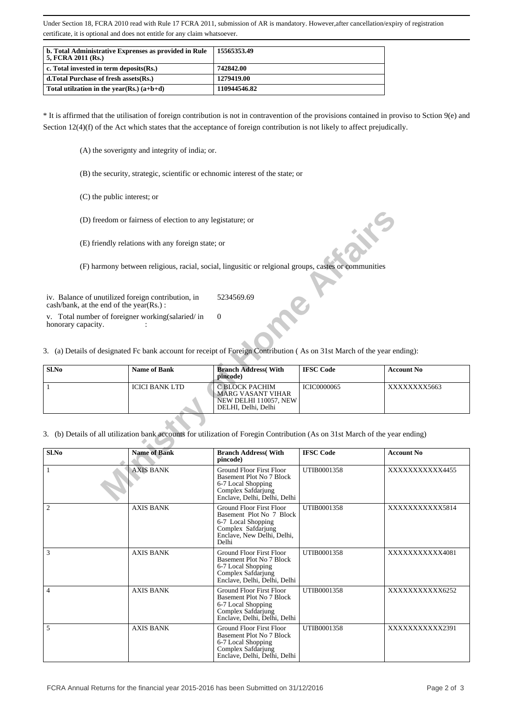Under Section 18, FCRA 2010 read with Rule 17 FCRA 2011, submission of AR is mandatory. However,after cancellation/expiry of registration certificate, it is optional and does not entitle for any claim whatsoever.

| b. Total Administrative Exprenses as provided in Rule<br>5, FCRA 2011 (Rs.) | 15565353.49  |
|-----------------------------------------------------------------------------|--------------|
| c. Total invested in term deposits $(Rs.)$                                  | 742842.00    |
| d. Total Purchase of fresh assets (Rs.)                                     | 1279419.00   |
| Total utilization in the year(Rs.) $(a+b+d)$                                | 110944546.82 |

\* It is affirmed that the utilisation of foreign contribution is not in contravention of the provisions contained in proviso to Sction 9(e) and Section 12(4)(f) of the Act which states that the acceptance of foreign contribution is not likely to affect prejudically.

- (A) the soverignty and integrity of india; or.
- (B) the security, strategic, scientific or echnomic interest of the state; or
- (C) the public interest; or
- (D) freedom or fairness of election to any legistature; or

| Sl.No | <b>Name of Bank</b> | <b>Branch Address</b> (With<br>pincode)                                              | <b>IFSC Code</b>   | <b>Account No</b> |
|-------|---------------------|--------------------------------------------------------------------------------------|--------------------|-------------------|
|       | ICICI BANK LTD      | C BLOCK PACHIM<br>⊦MARG VASANT VIHAR<br>NEW DELHI 110057, NEW<br>DELHI. Delhi. Delhi | <b>ICIC0000065</b> | XXXXXXXX5663      |

|                                                                                                                                                                         | (D) freedom or fairness of election to any legistature; or |                                                                                                                                                   |                    |                   |
|-------------------------------------------------------------------------------------------------------------------------------------------------------------------------|------------------------------------------------------------|---------------------------------------------------------------------------------------------------------------------------------------------------|--------------------|-------------------|
|                                                                                                                                                                         | (E) friendly relations with any foreign state; or          |                                                                                                                                                   |                    |                   |
|                                                                                                                                                                         |                                                            | (F) harmony between religious, racial, social, lingusitic or relgional groups, castes or communities                                              |                    |                   |
| iv. Balance of unutilized foreign contribution, in<br>cash/bank, at the end of the year(Rs.):<br>v. Total number of foreigner working(salaried/in<br>honorary capacity. |                                                            | 5234569.69<br>$\Omega$<br>3. (a) Details of designated Fc bank account for receipt of Foreign Contribution (As on 31st March of the year ending): |                    |                   |
| Sl.No                                                                                                                                                                   | <b>Name of Bank</b>                                        | <b>Branch Address</b> (With<br>pincode)                                                                                                           | <b>IFSC Code</b>   | <b>Account No</b> |
| $\mathbf{1}$                                                                                                                                                            | <b>ICICI BANK LTD</b>                                      | C BLOCK PACHIM<br>MARG VASANT VIHAR<br>NEW DELHI 110057, NEW<br>DELHI, Delhi, Delhi                                                               | <b>ICIC0000065</b> | XXXXXXXX5663      |
| 3. (b) Details of all utilization bank accounts for utilization of Foregin Contribution (As on 31st March of the year ending)                                           |                                                            |                                                                                                                                                   |                    |                   |
| Sl.No                                                                                                                                                                   | <b>Name of Bank</b>                                        | <b>Branch Address</b> (With<br>pincode)                                                                                                           | <b>IFSC Code</b>   | <b>Account No</b> |
| $\mathbf{1}$                                                                                                                                                            | <b>AXIS BANK</b>                                           | <b>Ground Floor First Floor</b><br><b>Basement Plot No 7 Block</b><br>6-7 Local Shopping<br>Complex Safdarjung<br>Enclave, Delhi, Delhi, Delhi    | UTIB0001358        | XXXXXXXXXX4455    |
| $\overline{c}$                                                                                                                                                          | <b>AXIS BANK</b>                                           | <b>Ground Floor First Floor</b><br>Basement Plot No 7 Block<br>6-7 Local Shopping<br>Complex Safdarjung<br>Enclave, New Delhi, Delhi,<br>Delhi    | UTIB0001358        | XXXXXXXXXXX5814   |
| 3                                                                                                                                                                       | <b>AXIS BANK</b>                                           | <b>Ground Floor First Floor</b><br>Basement Plot No 7 Block<br>6-7 Local Shopping<br>Complex Safdarjung<br>Enclave, Delhi, Delhi, Delhi           | UTIB0001358        | XXXXXXXXXX4081    |
| 4                                                                                                                                                                       | <b>AXIS BANK</b>                                           | <b>Ground Floor First Floor</b><br>Basement Plot No / Block<br>6-7 Local Shopping<br>Complex Safdarjung<br>Enclave, Delhi, Delhi, Delhi           | UTIB0001358        | XXXXXXXXXXX6252   |